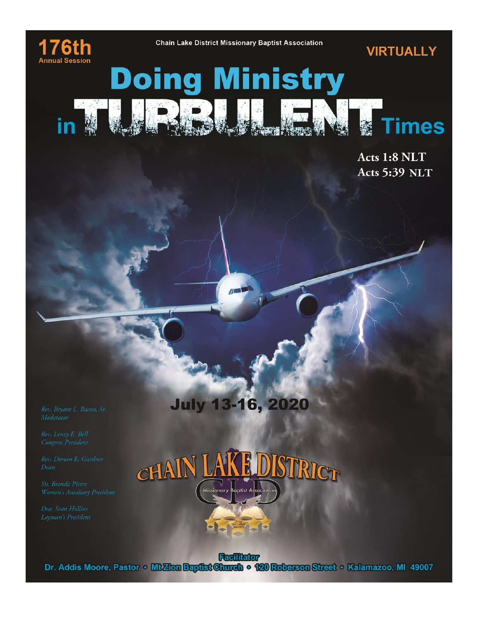

in

**VIRTUALLY** 

# **Doing Ministry**

 $\sqrt{1}$ 

Acts 1:8 NLT **Acts 5:39 NLT** 

**imes** 



**July 13-16, 2020** 

**Colligion**<br>Dr. Addis Moore, Pastor • **Mt Zion Baptist Church • 120 Roberson Street • Kalamazoo, MI 49007**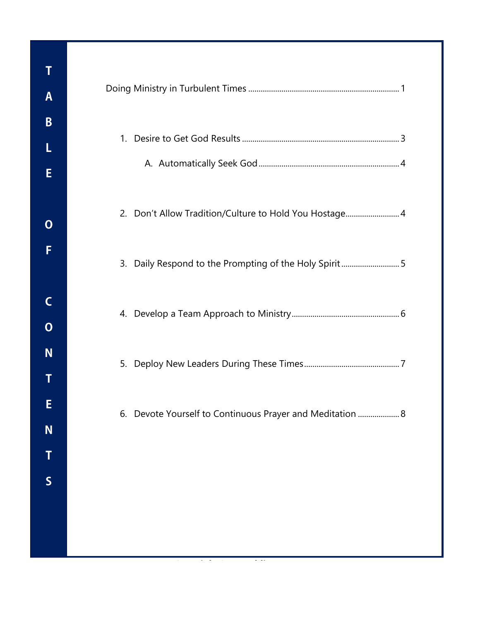| 1. |                                                             |
|----|-------------------------------------------------------------|
| 2. | Don't Allow Tradition/Culture to Hold You Hostage 4         |
| 3. | Daily Respond to the Prompting of the Holy Spirit5          |
|    |                                                             |
| 5. |                                                             |
|    | 6. Devote Yourself to Continuous Praver and Meditation<br>8 |
|    |                                                             |
|    |                                                             |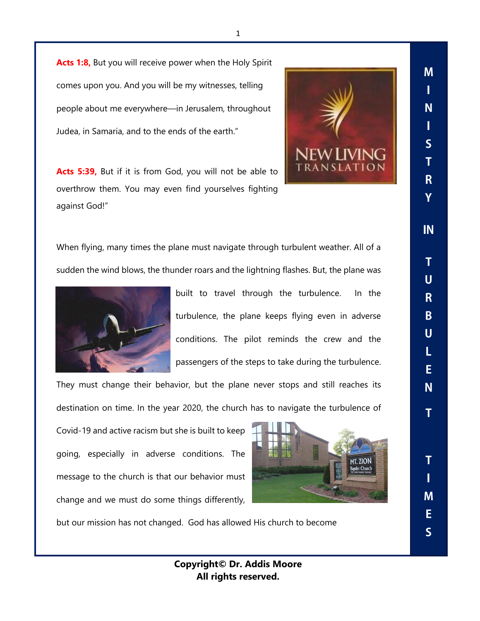Acts 1:8, But you will receive power when the Holy Spirit comes upon you. And you will be my witnesses, telling people about me everywhere—in Jerusalem, throughout Judea, in Samaria, and to the ends of the earth."

**Acts 5:39,** But if it is from God, you will not be able to overthrow them. You may even find yourselves fighting against God!"



When flying, many times the plane must navigate through turbulent weather. All of a sudden the wind blows, the thunder roars and the lightning flashes. But, the plane was



built to travel through the turbulence. In the turbulence, the plane keeps flying even in adverse conditions. The pilot reminds the crew and the passengers of the steps to take during the turbulence.

They must change their behavior, but the plane never stops and still reaches its destination on time. In the year 2020, the church has to navigate the turbulence of

Covid-19 and active racism but she is built to keep going, especially in adverse conditions. The message to the church is that our behavior must change and we must do some things differently,



but our mission has not changed. God has allowed His church to become

M П N П  $\overline{\mathsf{S}}$ 

 $\overline{\mathsf{S}}$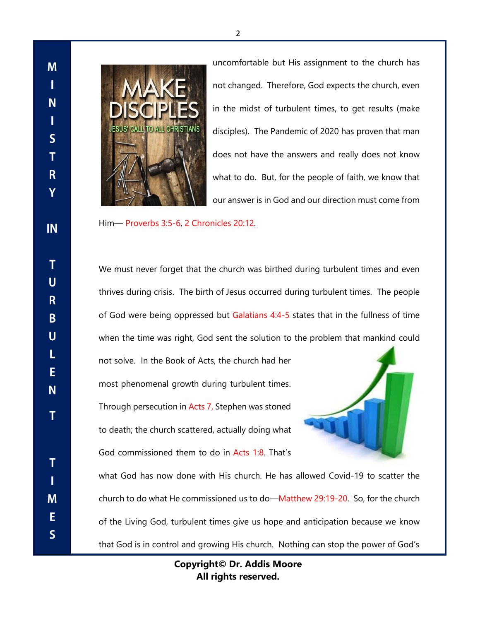**M** Т N L  $\mathsf{S}$ T  $\mathsf{R}$ Y IN  $\mathbf T$  $\overline{\mathsf{U}}$  $R$ B  $\mathsf{U}$ L E N. т  $T$ T M E  $\overline{\mathsf{S}}$ 



uncomfortable but His assignment to the church has not changed. Therefore, God expects the church, even in the midst of turbulent times, to get results (make disciples). The Pandemic of 2020 has proven that man does not have the answers and really does not know what to do. But, for the people of faith, we know that our answer is in God and our direction must come from

Him— Proverbs 3:5-6, 2 Chronicles 20:12.

We must never forget that the church was birthed during turbulent times and even thrives during crisis. The birth of Jesus occurred during turbulent times. The people of God were being oppressed but Galatians 4:4-5 states that in the fullness of time when the time was right, God sent the solution to the problem that mankind could

not solve. In the Book of Acts, the church had her most phenomenal growth during turbulent times. Through persecution in Acts 7, Stephen was stoned to death; the church scattered, actually doing what God commissioned them to do in Acts 1:8. That's



what God has now done with His church. He has allowed Covid-19 to scatter the church to do what He commissioned us to do—Matthew 29:19-20. So, for the church of the Living God, turbulent times give us hope and anticipation because we know that God is in control and growing His church. Nothing can stop the power of God's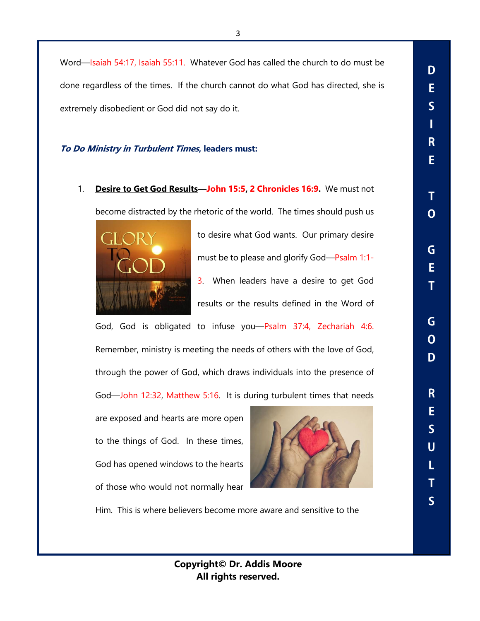3

Word—Isaiah 54:17, Isaiah 55:11. Whatever God has called the church to do must be done regardless of the times. If the church cannot do what God has directed, she is extremely disobedient or God did not say do it.

## **To Do Ministry in Turbulent Times, leaders must:**

1. **Desire to Get God Results—John 15:5, 2 Chronicles 16:9.** We must not become distracted by the rhetoric of the world. The times should push us



to desire what God wants. Our primary desire must be to please and glorify God—Psalm 1:1- 3. When leaders have a desire to get God results or the results defined in the Word of

God, God is obligated to infuse you—Psalm 37:4, Zechariah 4:6. Remember, ministry is meeting the needs of others with the love of God, through the power of God, which draws individuals into the presence of God—John 12:32, Matthew 5:16. It is during turbulent times that needs

are exposed and hearts are more open to the things of God. In these times, God has opened windows to the hearts of those who would not normally hear



Him. This is where believers become more aware and sensitive to the

D E  $\overline{\mathsf{S}}$ T R E. T  $\Omega$ G E. T. G  $\Omega$ D  $\mathsf{R}$ E  $\overline{\mathsf{S}}$  $\mathbf U$ L T  $\overline{\mathsf{S}}$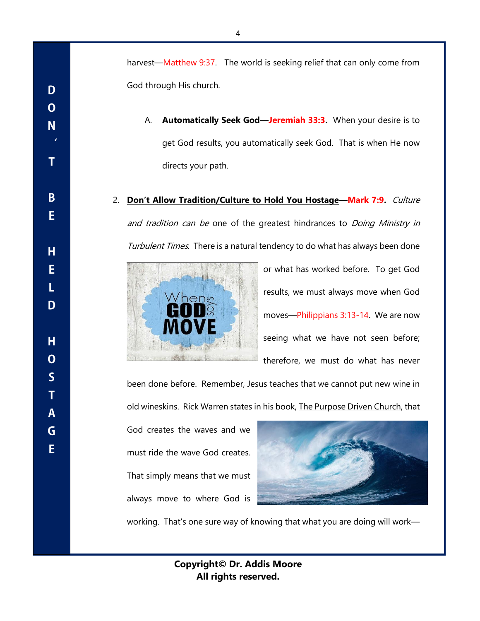harvest—Matthew 9:37. The world is seeking relief that can only come from God through His church.

A. **Automatically Seek God—Jeremiah 33:3.** When your desire is to get God results, you automatically seek God. That is when He now directs your path.

2. **Don't Allow Tradition/Culture to Hold You Hostage—Mark 7:9.** Culture and tradition can be one of the greatest hindrances to Doing Ministry in Turbulent Times. There is a natural tendency to do what has always been done



or what has worked before. To get God results, we must always move when God moves—Philippians 3:13-14. We are now seeing what we have not seen before; therefore, we must do what has never

been done before. Remember, Jesus teaches that we cannot put new wine in old wineskins. Rick Warren states in his book, The Purpose Driven Church, that

God creates the waves and we must ride the wave God creates. That simply means that we must always move to where God is



working. That's one sure way of knowing that what you are doing will work—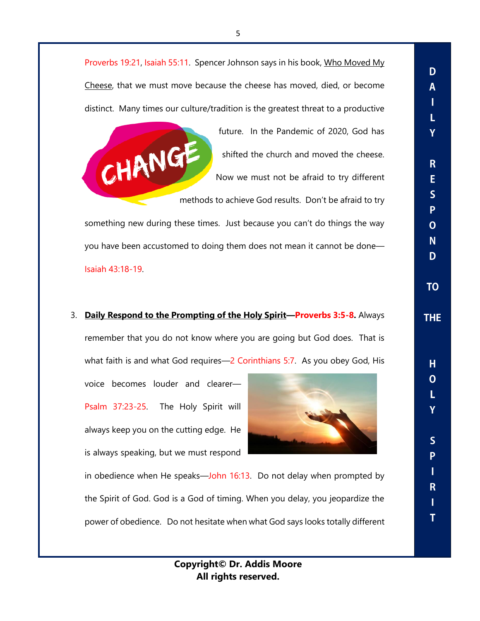Proverbs 19:21, Isaiah 55:11. Spencer Johnson says in his book, Who Moved My Cheese, that we must move because the cheese has moved, died, or become distinct. Many times our culture/tradition is the greatest threat to a productive



future. In the Pandemic of 2020, God has shifted the church and moved the cheese. Now we must not be afraid to try different D A Т Ĺ Y

 $\overline{\mathbf{R}}$ E  $\overline{\mathsf{S}}$ P  $\overline{O}$ 

 $N$ D.

**TO** 

**THE** 

 $H$  $\Omega$ 

> L Ÿ

> $\overline{\mathsf{S}}$ P T

> $\mathsf{R}$ Т T

methods to achieve God results. Don't be afraid to try

something new during these times. Just because you can't do things the way you have been accustomed to doing them does not mean it cannot be done— Isaiah 43:18-19.

# 3. **Daily Respond to the Prompting of the Holy Spirit—Proverbs 3:5-8.** Always

remember that you do not know where you are going but God does. That is what faith is and what God requires—2 Corinthians 5:7. As you obey God, His

voice becomes louder and clearer— Psalm 37:23-25. The Holy Spirit will always keep you on the cutting edge. He is always speaking, but we must respond



in obedience when He speaks—John 16:13. Do not delay when prompted by the Spirit of God. God is a God of timing. When you delay, you jeopardize the power of obedience. Do not hesitate when what God says looks totally different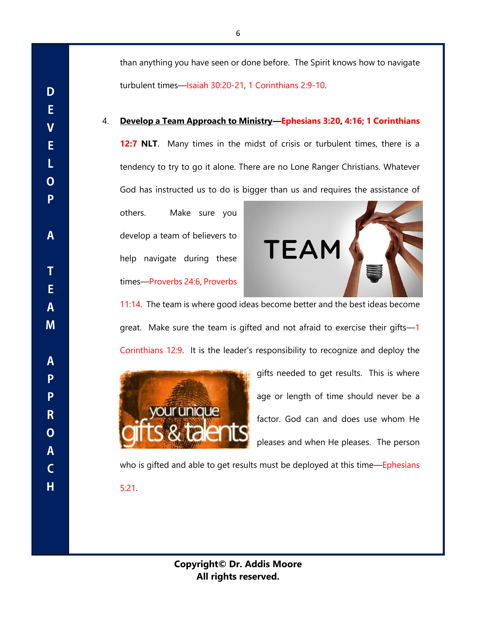than anything you have seen or done before. The Spirit knows how to navigate turbulent times—Isaiah 30:20-21, 1 Corinthians 2:9-10.

### 4. **Develop a Team Approach to Ministry—Ephesians 3:20, 4:16; 1 Corinthians**

**12:7 NLT**. Many times in the midst of crisis or turbulent times, there is a tendency to try to go it alone. There are no Lone Ranger Christians. Whatever God has instructed us to do is bigger than us and requires the assistance of

others. Make sure you develop a team of believers to help navigate during these times—Proverbs 24:6, Proverbs

D

E

 $\overline{\mathbf{V}}$ 

E

L

 $\overline{O}$ 

P

 $\mathsf{A}$ 

T

E

 $\mathbf{A}$ 

M

A

P

P

R

 $\overline{O}$ 

 $\mathsf{A}$ 

 $\mathsf{C}$ 

H



11:14. The team is where good ideas become better and the best ideas become great. Make sure the team is gifted and not afraid to exercise their gifts—1 Corinthians 12:9. It is the leader's responsibility to recognize and deploy the



gifts needed to get results. This is where age or length of time should never be a factor. God can and does use whom He pleases and when He pleases. The person

who is gifted and able to get results must be deployed at this time—Ephesians 5:21.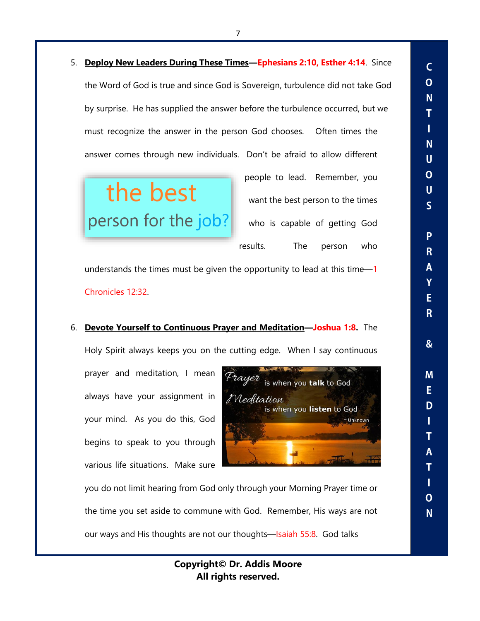5. **Deploy New Leaders During These Times—Ephesians 2:10, Esther 4:14**. Since the Word of God is true and since God is Sovereign, turbulence did not take God by surprise. He has supplied the answer before the turbulence occurred, but we must recognize the answer in the person God chooses. Often times the answer comes through new individuals. Don't be afraid to allow different

the best person for the job?

people to lead. Remember, you want the best person to the times who is capable of getting God results. The person who

 $\overline{C}$  $\mathbf O$ N. T T

N<sub>1</sub>  $\mathbf U$  $\mathbf{O}$ 

 $\overline{U}$  $\overline{\mathsf{S}}$ 

> P R

A Ÿ E

 $\mathsf{R}$ 

 $\boldsymbol{\mathcal{S}}$ 

M

E.

D

Т T

Α  $\overline{\mathbf{I}}$ 

Т  $\Omega$ 

N<sub>1</sub>

understands the times must be given the opportunity to lead at this time-1 Chronicles 12:32.

#### 6. **Devote Yourself to Continuous Prayer and Meditation—Joshua 1:8.** The

Holy Spirit always keeps you on the cutting edge. When I say continuous

prayer and meditation, I mean always have your assignment in your mind. As you do this, God begins to speak to you through various life situations. Make sure



you do not limit hearing from God only through your Morning Prayer time or the time you set aside to commune with God. Remember, His ways are not our ways and His thoughts are not our thoughts—Isaiah 55:8. God talks